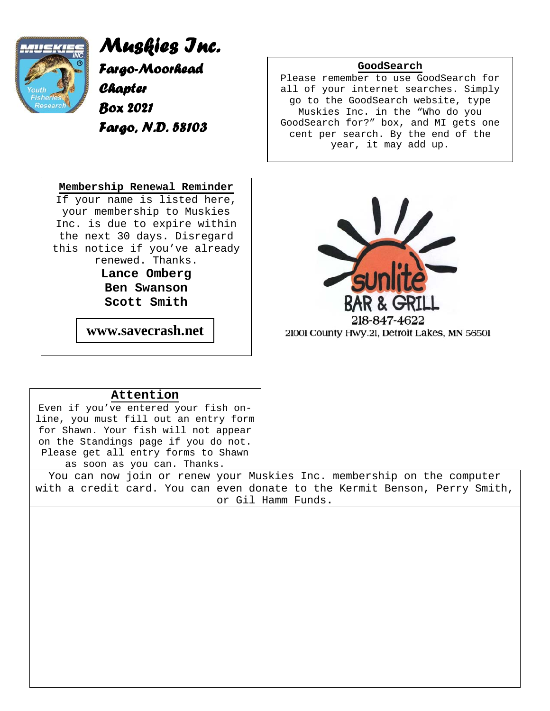

*Muskies Inc. Fargo-Moorhead Chapter Box 2021 Fargo, N.D. 58103*



**Attention**

### **GoodSearch**

Please remember to use GoodSearch for all of your internet searches. Simply go to the GoodSearch website, type Muskies Inc. in the "Who do you GoodSearch for?" box, and MI gets one cent per search. By the end of the year, it may add up.



| Even if you've entered your fish on-                                       |  |  |  |
|----------------------------------------------------------------------------|--|--|--|
| line, you must fill out an entry form                                      |  |  |  |
| for Shawn. Your fish will not appear                                       |  |  |  |
| on the Standings page if you do not.                                       |  |  |  |
| Please get all entry forms to Shawn                                        |  |  |  |
| as soon as you can. Thanks.                                                |  |  |  |
| You can now join or renew your Muskies Inc. membership on the computer     |  |  |  |
| with a credit card. You can even donate to the Kermit Benson, Perry Smith, |  |  |  |
| or Gil Hamm Funds.                                                         |  |  |  |
|                                                                            |  |  |  |
|                                                                            |  |  |  |
|                                                                            |  |  |  |
|                                                                            |  |  |  |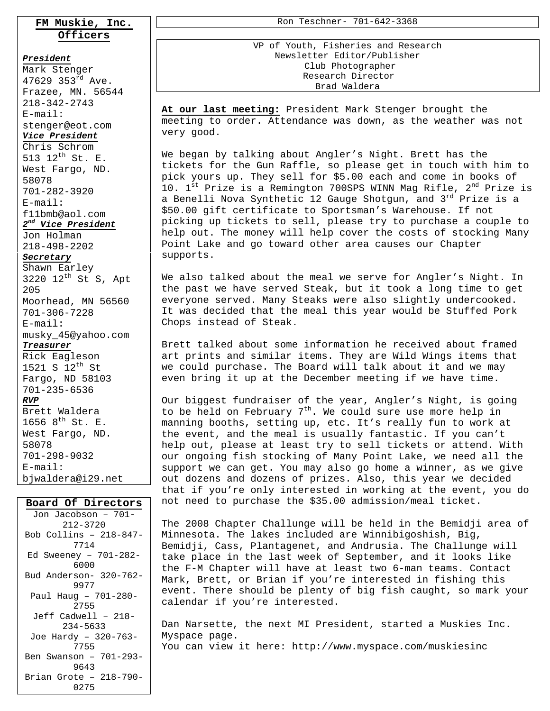### **FM Muskie, Inc. Officers**

#### *President*

Mark Stenger 47629 353 $^{rd}$  Ave. Frazee, MN. 56544 218-342-2743 E-mail: stenger@eot.com *Vice President* Chris Schrom 513 12th St. E. West Fargo, ND. 58078 701-282-3920 E-mail: f11bmb@aol.com *2nd Vice President* Jon Holman 218-498-2202 *Secretary* Shawn Earley 3220  $12^{th}$  St S, Apt 205 Moorhead, MN 56560 701-306-7228 E-mail: musky\_45@yahoo.com *Treasurer* Rick Eagleson 1521 S  $12^{th}$  St Fargo, ND 58103 701-235-6536 *RVP* Brett Waldera 1656  $8^{th}$  St. E. West Fargo, ND. 58078 701-298-9032 E-mail:

### **Board Of Directors**

bjwaldera@i29.net

| Jon Jacobson – 701–     |
|-------------------------|
| $212 - 3720$            |
| Bob Collins - 218-847-  |
| 7714                    |
| Ed Sweeney - $701-282-$ |
| 6000                    |
| Bud Anderson- 320-762-  |
| 9977                    |
| Paul Haug - 701-280-    |
| 2755                    |
| Jeff Cadwell - 218-     |
| $234 - 5633$            |
| Joe Hardy - 320-763-    |
| 7755                    |
| Ben Swanson - 701-293-  |
| 9643                    |
| Brian Grote - 218-790-  |
| 0275                    |

Ron Teschner- 701-642-3368

VP of Youth, Fisheries and Research Newsletter Editor/Publisher Club Photographer Research Director Brad Waldera

**At our last meeting:** President Mark Stenger brought the meeting to order. Attendance was down, as the weather was not very good.

We began by talking about Angler's Night. Brett has the tickets for the Gun Raffle, so please get in touch with him to pick yours up. They sell for \$5.00 each and come in books of 10.  $1^{st}$  Prize is a Remington 700SPS WINN Mag Rifle,  $2^{nd}$  Prize is a Benelli Nova Synthetic 12 Gauge Shotgun, and 3rd Prize is a \$50.00 gift certificate to Sportsman's Warehouse. If not picking up tickets to sell, please try to purchase a couple to help out. The money will help cover the costs of stocking Many Point Lake and go toward other area causes our Chapter supports.

We also talked about the meal we serve for Angler's Night. In the past we have served Steak, but it took a long time to get everyone served. Many Steaks were also slightly undercooked. It was decided that the meal this year would be Stuffed Pork Chops instead of Steak.

Brett talked about some information he received about framed art prints and similar items. They are Wild Wings items that we could purchase. The Board will talk about it and we may even bring it up at the December meeting if we have time.

Our biggest fundraiser of the year, Angler's Night, is going to be held on February  $7<sup>th</sup>$ . We could sure use more help in manning booths, setting up, etc. It's really fun to work at the event, and the meal is usually fantastic. If you can't help out, please at least try to sell tickets or attend. With our ongoing fish stocking of Many Point Lake, we need all the support we can get. You may also go home a winner, as we give out dozens and dozens of prizes. Also, this year we decided that if you're only interested in working at the event, you do not need to purchase the \$35.00 admission/meal ticket.

The 2008 Chapter Challunge will be held in the Bemidji area of Minnesota. The lakes included are Winnibigoshish, Big, Bemidji, Cass, Plantagenet, and Andrusia. The Challunge will take place in the last week of September, and it looks like the F-M Chapter will have at least two 6-man teams. Contact Mark, Brett, or Brian if you're interested in fishing this event. There should be plenty of big fish caught, so mark your calendar if you're interested.

Dan Narsette, the next MI President, started a Muskies Inc. Myspace page.

You can view it here: http://www.myspace.com/muskiesinc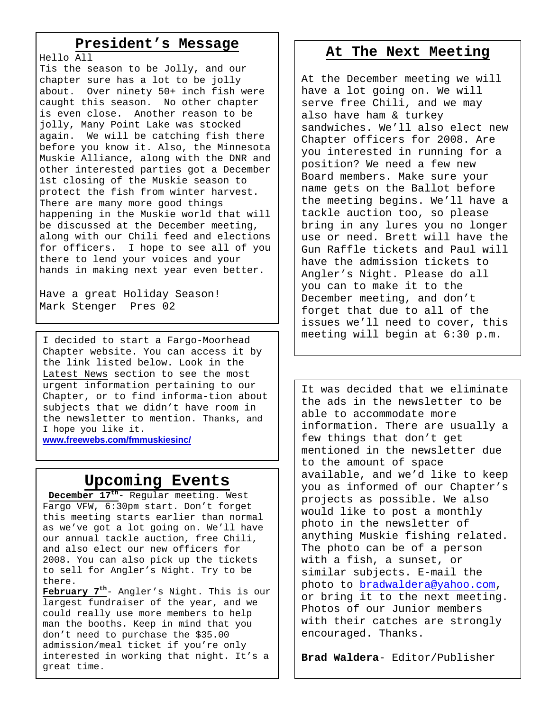## **President's Message**

Hello All Tis the season to be Jolly, and our chapter sure has a lot to be jolly about. Over ninety 50+ inch fish were caught this season. No other chapter is even close. Another reason to be jolly, Many Point Lake was stocked again. We will be catching fish there before you know it. Also, the Minnesota Muskie Alliance, along with the DNR and other interested parties got a December 1st closing of the Muskie season to protect the fish from winter harvest. There are many more good things happening in the Muskie world that will be discussed at the December meeting, along with our Chili feed and elections for officers. I hope to see all of you there to lend your voices and your hands in making next year even better.

Have a great Holiday Season! Mark Stenger Pres 02

I decided to start a Fargo-Moorhead Chapter website. You can access it by the link listed below. Look in the Latest News section to see the most urgent information pertaining to our Chapter, or to find informa-tion about subjects that we didn't have room in the newsletter to mention. Thanks, and I hope you like it.

**www.freewebs.com/fmmuskiesinc/** 

# **Upcoming Events**

**December 17th**- Regular meeting. West Fargo VFW, 6:30pm start. Don't forget this meeting starts earlier than normal as we've got a lot going on. We'll have our annual tackle auction, free Chili, and also elect our new officers for 2008. You can also pick up the tickets to sell for Angler's Night. Try to be there.

**February 7th**- Angler's Night. This is our largest fundraiser of the year, and we could really use more members to help man the booths. Keep in mind that you don't need to purchase the \$35.00 admission/meal ticket if you're only interested in working that night. It's a great time.

# **At The Next Meeting**

At the December meeting we will have a lot going on. We will serve free Chili, and we may also have ham & turkey sandwiches. We'll also elect new Chapter officers for 2008. Are you interested in running for a position? We need a few new Board members. Make sure your name gets on the Ballot before the meeting begins. We'll have a tackle auction too, so please bring in any lures you no longer use or need. Brett will have the Gun Raffle tickets and Paul will have the admission tickets to Angler's Night. Please do all you can to make it to the December meeting, and don't forget that due to all of the issues we'll need to cover, this meeting will begin at 6:30 p.m.

It was decided that we eliminate the ads in the newsletter to be able to accommodate more information. There are usually a few things that don't get mentioned in the newsletter due to the amount of space available, and we'd like to keep you as informed of our Chapter's projects as possible. We also would like to post a monthly photo in the newsletter of anything Muskie fishing related. The photo can be of a person with a fish, a sunset, or similar subjects. E-mail the photo to bradwaldera@yahoo.com, or bring it to the next meeting. Photos of our Junior members with their catches are strongly encouraged. Thanks.

**Brad Waldera**- Editor/Publisher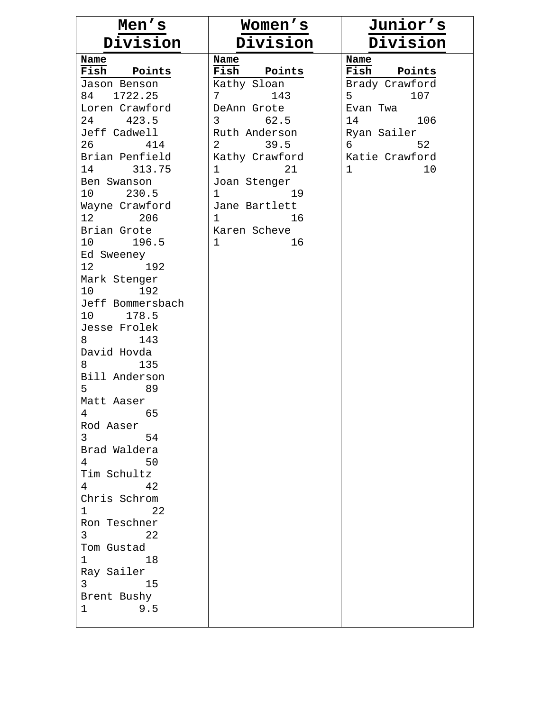| Men's                                              | Women's                                | Junior's             |
|----------------------------------------------------|----------------------------------------|----------------------|
| Division                                           | Division                               | Division             |
| Name                                               | Name                                   | Name                 |
| Fish Points                                        | Fish Points                            | Fish Points          |
| Jason Benson                                       | Kathy Sloan                            | Brady Crawford       |
| 84 1722.25<br>Loren Crawford                       | 143<br>7<br>DeAnn Grote                | 5<br>107<br>Evan Twa |
| 24 423.5                                           | $3 \left( \frac{1}{2} \right)$<br>62.5 | 14<br>106            |
| Jeff Cadwell                                       | Ruth Anderson                          | Ryan Sailer          |
| 26 414                                             | 2 39.5                                 | 6<br>52              |
| Brian Penfield                                     | Kathy Crawford                         | Katie Crawford       |
| 14 313.75                                          | $1 \qquad \qquad$<br>21                | $\mathbf{1}$<br>10   |
| Ben Swanson                                        | Joan Stenger                           |                      |
| 10 230.5                                           | $\mathbf{1}$<br>19                     |                      |
| Wayne Crawford                                     | Jane Bartlett                          |                      |
| 12<br>206                                          | 16<br>$1 \quad \blacksquare$           |                      |
| Brian Grote                                        | Karen Scheve                           |                      |
| 10 196.5                                           | 16<br>1                                |                      |
| Ed Sweeney<br>12 192                               |                                        |                      |
| Mark Stenger                                       |                                        |                      |
| 10<br>192                                          |                                        |                      |
| Jeff Bommersbach                                   |                                        |                      |
| 10 178.5                                           |                                        |                      |
| Jesse Frolek                                       |                                        |                      |
| 143<br>8                                           |                                        |                      |
| David Hovda                                        |                                        |                      |
| 135<br>8                                           |                                        |                      |
| Bill Anderson                                      |                                        |                      |
| 5 <sup>1</sup><br>89                               |                                        |                      |
| Matt Aaser                                         |                                        |                      |
| 65<br>4<br>Rod Aaser                               |                                        |                      |
| 3 <sup>7</sup><br>54                               |                                        |                      |
| Brad Waldera                                       |                                        |                      |
| $4\overline{ }$<br>50                              |                                        |                      |
| Tim Schultz                                        |                                        |                      |
| 42                                                 |                                        |                      |
| Chris Schrom                                       |                                        |                      |
| 22<br>$\mathbf{1}$                                 |                                        |                      |
| Ron Teschner                                       |                                        |                      |
| 3 <sup>7</sup><br>22                               |                                        |                      |
| Tom Gustad                                         |                                        |                      |
| $\mathbf 1$<br>18                                  |                                        |                      |
| Ray Sailer<br>$3 \left( \frac{1}{2} \right)$<br>15 |                                        |                      |
| Brent Bushy                                        |                                        |                      |
| 9.5<br>$\mathbf 1$                                 |                                        |                      |
|                                                    |                                        |                      |